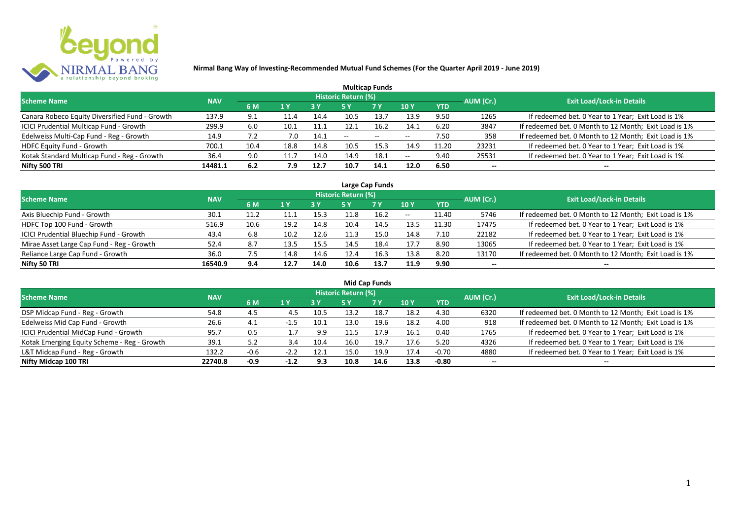

| <b>Multicap Funds</b>                          |            |      |      |      |                     |           |                          |            |           |                                                       |  |  |  |  |
|------------------------------------------------|------------|------|------|------|---------------------|-----------|--------------------------|------------|-----------|-------------------------------------------------------|--|--|--|--|
| <b>Scheme Name</b>                             | <b>NAV</b> |      |      |      | Historic Return (%) |           |                          |            | AUM (Cr.) | <b>Exit Load/Lock-in Details</b>                      |  |  |  |  |
|                                                |            | 6 M  | 1 Y  | 73 Y |                     | <b>7Y</b> | <b>10Y</b>               | <b>YTD</b> |           |                                                       |  |  |  |  |
| Canara Robeco Equity Diversified Fund - Growth | 137.9      | 9.1  | 11.4 | 14.4 | 10.5                | 13.7      | 13.9                     | 9.50       | 1265      | If redeemed bet. 0 Year to 1 Year; Exit Load is 1%    |  |  |  |  |
| ICICI Prudential Multicap Fund - Growth        | 299.9      | 6.0  | 10.1 | 11.1 | 12.1                | 16.2      | 14.1                     | 6.20       | 3847      | If redeemed bet. 0 Month to 12 Month; Exit Load is 1% |  |  |  |  |
| Edelweiss Multi-Cap Fund - Reg - Growth        | 14.9       |      | 7.0  | 14.1 | $- -$               | $- -$     | $\overline{\phantom{m}}$ | 7.50       | 358       | If redeemed bet. 0 Month to 12 Month; Exit Load is 1% |  |  |  |  |
| <b>HDFC Equity Fund - Growth</b>               | 700.1      | 10.4 | 18.8 | 14.8 | 10.5                | 15.3      | 14.9                     | 11.20      | 23231     | If redeemed bet. 0 Year to 1 Year; Exit Load is 1%    |  |  |  |  |
| Kotak Standard Multicap Fund - Reg - Growth    | 36.4       | 9.0  | 11.7 | 14.0 | 14.9                | 18.1      | $\overline{\phantom{m}}$ | 9.40       | 25531     | If redeemed bet. 0 Year to 1 Year; Exit Load is 1%    |  |  |  |  |
| Nifty 500 TRI                                  | 14481.1    | 6.2  | 7.9  | 12.7 | 10.7                | 14.1      | 12.0                     | 6.50       | $- -$     |                                                       |  |  |  |  |

| Large Cap Funds                           |            |      |                  |      |                     |           |            |            |           |                                                       |  |  |  |
|-------------------------------------------|------------|------|------------------|------|---------------------|-----------|------------|------------|-----------|-------------------------------------------------------|--|--|--|
| Scheme Name                               | <b>NAV</b> |      |                  |      | Historic Return (%) |           |            |            | AUM (Cr.) | <b>Exit Load/Lock-in Details</b>                      |  |  |  |
|                                           |            | 6 M  | $\overline{1}$ Y |      | 5 Y                 | <b>7Y</b> | <b>10Y</b> | <b>YTD</b> |           |                                                       |  |  |  |
| Axis Bluechip Fund - Growth               | 30.1       | 11.2 |                  | 15.3 |                     | 16.2      | $- -$      | 11.40      | 5746      | If redeemed bet. 0 Month to 12 Month; Exit Load is 1% |  |  |  |
| HDFC Top 100 Fund - Growth                | 516.9      | 10.6 | 19.2             | 14.8 | 10.4                | 14.5      | 13.5       | 11.30      | 17475     | If redeemed bet. 0 Year to 1 Year; Exit Load is 1%    |  |  |  |
| ICICI Prudential Bluechip Fund - Growth   | 43.4       | 6.8  | 10.2             | 12.6 | 11.3                | 15.0      | 14.8       | 7.10       | 22182     | If redeemed bet. 0 Year to 1 Year; Exit Load is 1%    |  |  |  |
| Mirae Asset Large Cap Fund - Reg - Growth | 52.4       | 8.7  | 13.5             | 15.5 | 14.5                | 18.4      | 17.7       | 8.90       | 13065     | If redeemed bet. 0 Year to 1 Year; Exit Load is 1%    |  |  |  |
| Reliance Large Cap Fund - Growth          | 36.0       | 7.5  | 14.8             | 14.6 | 12.4                | 16.3      | 13.8       | 8.20       | 13170     | If redeemed bet. 0 Month to 12 Month; Exit Load is 1% |  |  |  |
| Nifty 50 TRI                              | 16540.9    | 9.4  | 12.7             | 14.0 | 10.6                | 13.7      | 11.9       | 9.90       |           |                                                       |  |  |  |

| <b>Mid Cap Funds</b>                        |            |        |        |      |                            |      |      |            |                          |                                                       |  |  |  |
|---------------------------------------------|------------|--------|--------|------|----------------------------|------|------|------------|--------------------------|-------------------------------------------------------|--|--|--|
| <b>Scheme Name</b>                          | <b>NAV</b> |        |        |      | <b>Historic Return (%)</b> |      |      |            | AUM (Cr.)                | <b>Exit Load/Lock-in Details</b>                      |  |  |  |
|                                             |            | 6 M    | 1 Y    | 73 Y | 5 Y                        | 7 Y  | 10 Y | <b>YTD</b> |                          |                                                       |  |  |  |
| DSP Midcap Fund - Reg - Growth              | 54.8       | 4.5    | 4.5    | 10.5 | 13.2                       | 18.7 | 18.2 | 4.30       | 6320                     | If redeemed bet. 0 Month to 12 Month; Exit Load is 1% |  |  |  |
| Edelweiss Mid Cap Fund - Growth             | 26.6       | -4.1   | $-1.5$ | 10.1 | 13.0                       | 19.6 | 18.2 | 4.00       | 918                      | If redeemed bet. 0 Month to 12 Month; Exit Load is 1% |  |  |  |
| ICICI Prudential MidCap Fund - Growth       | 95.7       | 0.5    |        | 9.9  |                            | 17.9 | 16.1 | 0.40       | 1765                     | If redeemed bet. 0 Year to 1 Year; Exit Load is 1%    |  |  |  |
| Kotak Emerging Equity Scheme - Reg - Growth | 39.1       | 5.2    | 3.4    | 10.4 | 16.0                       | 19.7 | 17.6 | 5.20       | 4326                     | If redeemed bet. 0 Year to 1 Year; Exit Load is 1%    |  |  |  |
| L&T Midcap Fund - Reg - Growth              | 132.2      | -0.6   |        | 12.1 | 15.0                       | 19.9 | 17.4 | $-0.70$    | 4880                     | If redeemed bet. 0 Year to 1 Year; Exit Load is 1%    |  |  |  |
| Nifty Midcap 100 TRI                        | 22740.8    | $-0.9$ | $-1.2$ | 9.3  | 10.8                       | 14.6 | 13.8 | $-0.80$    | $\overline{\phantom{a}}$ | --                                                    |  |  |  |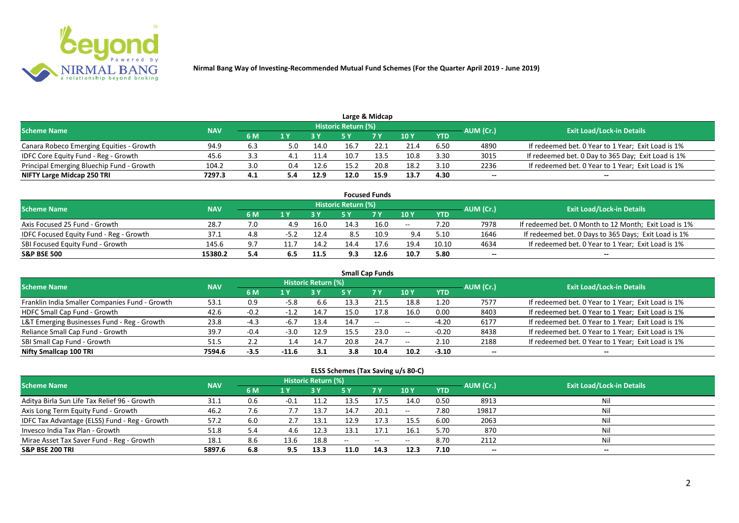

|                                           |            |     |     |      |                            | Large & Midcap |      |            |           |                                                    |
|-------------------------------------------|------------|-----|-----|------|----------------------------|----------------|------|------------|-----------|----------------------------------------------------|
| <b>Scheme Name</b>                        | <b>NAV</b> |     |     |      | <b>Historic Return (%)</b> |                |      |            | AUM (Cr.) | <b>Exit Load/Lock-in Details</b>                   |
|                                           |            | 6 M |     |      |                            | <b>7 Y</b>     | 10 Y | <b>YTD</b> |           |                                                    |
| Canara Robeco Emerging Equities - Growth  | 94.9       | 6.3 | 5.0 | 14.0 | 16.7                       | 22.1           | 21.4 | 6.50       | 4890      | If redeemed bet. 0 Year to 1 Year; Exit Load is 1% |
| IDFC Core Equity Fund - Reg - Growth      | 45.6       |     |     | 11.4 | 10.7                       | 13.5           | 10.8 | 3.30       | 3015      | If redeemed bet. 0 Day to 365 Day; Exit Load is 1% |
| Principal Emerging Bluechip Fund - Growth | 104.2      | 3.0 | 0.4 | 12.6 | 15.2                       | 20.8           | 18.2 | 3.10       | 2236      | If redeemed bet. 0 Year to 1 Year; Exit Load is 1% |
| NIFTY Large Midcap 250 TRI                | 7297.3     | 4.1 | 5.4 | 12.9 | 12.0                       | 15.9           | 13.7 | 4.30       | --        | $- -$                                              |

|                                                |            |     |      |      |                     | <b>Focused Funds</b> |       |            |           |                                                       |
|------------------------------------------------|------------|-----|------|------|---------------------|----------------------|-------|------------|-----------|-------------------------------------------------------|
| <b>Scheme Name</b>                             | <b>NAV</b> |     |      |      | Historic Return (%) |                      |       |            | AUM (Cr.) | <b>Exit Load/Lock-in Details</b>                      |
|                                                |            | 6 M | 1 V  |      |                     | 7 Y                  | 10Y   | <b>YTD</b> |           |                                                       |
| Axis Focused 25 Fund - Growth                  | 28.7       | 7.0 | 4.9  | 16.0 | 14.3                | 16.0                 | $- -$ | 7.20       | 7978      | If redeemed bet. 0 Month to 12 Month; Exit Load is 1% |
| <b>IDFC Focused Equity Fund - Reg - Growth</b> | 37.1       | 4.8 | -5.2 | 12.4 | 8.5                 | 10.9                 | 9.4   | 5.10       | 1646      | If redeemed bet. 0 Days to 365 Days; Exit Load is 1%  |
| SBI Focused Equity Fund - Growth               | 145.6      | 9.7 |      | 14.2 | 14.4                | 17.6                 | 19.4  | 10.10      | 4634      | If redeemed bet. 0 Year to 1 Year; Exit Load is 1%    |
| <b>S&amp;P BSE 500</b>                         | 15380.2    | 5.4 | 6.5  | 11.5 | 9.3                 | 12.6                 | 10.7  | 5.80       | --        | --                                                    |

| <b>Small Cap Funds</b>                         |            |        |        |                     |      |           |            |            |           |                                                    |  |  |  |
|------------------------------------------------|------------|--------|--------|---------------------|------|-----------|------------|------------|-----------|----------------------------------------------------|--|--|--|
| <b>Scheme Name</b>                             | <b>NAV</b> |        |        | Historic Return (%) |      |           |            |            | AUM (Cr.) | <b>Exit Load/Lock-in Details</b>                   |  |  |  |
|                                                |            | 6 M    | 1 Y    |                     | 5 Y  | <b>7Y</b> | <b>10Y</b> | <b>YTD</b> |           |                                                    |  |  |  |
| Franklin India Smaller Companies Fund - Growth | 53.1       | 0.9    | $-5.8$ | 6.6                 | 13.3 | 21.5      | 18.8       | 1.20       | 7577      | If redeemed bet. 0 Year to 1 Year; Exit Load is 1% |  |  |  |
| HDFC Small Cap Fund - Growth                   | 42.6       | $-0.2$ | $-1.2$ | 14.7                | 15.0 | 17.8      | 16.0       | 0.00       | 8403      | If redeemed bet. 0 Year to 1 Year; Exit Load is 1% |  |  |  |
| L&T Emerging Businesses Fund - Reg - Growth    | 23.8       | $-4.3$ | -6.7   | 13.4                | 14.7 | $--$      | $- -$      | $-4.20$    | 6177      | If redeemed bet. 0 Year to 1 Year; Exit Load is 1% |  |  |  |
| Reliance Small Cap Fund - Growth               | 39.7       | $-0.4$ | $-3.0$ | 12.9                | 15.5 | 23.0      | $- -$      | $-0.20$    | 8438      | If redeemed bet. 0 Year to 1 Year; Exit Load is 1% |  |  |  |
| SBI Small Cap Fund - Growth                    | 51.5       |        |        | 14.7                | 20.8 | 24.7      | $- -$      | 2.10       | 2188      | If redeemed bet. 0 Year to 1 Year; Exit Load is 1% |  |  |  |
| Nifty Smallcap 100 TRI                         | 7594.6     | -3.5   | -11.6  | 3.1                 | 3.8  | 10.4      | 10.2       | $-3.10$    | --        |                                                    |  |  |  |

#### **ELSS Schemes (Tax Saving u/s 80-C)**

| Scheme Name                                   | <b>NAV</b> |     |                | Historic Return (%) |       |            |               |            | AUM (Cr.) | <b>Exit Load/Lock-in Details</b> |
|-----------------------------------------------|------------|-----|----------------|---------------------|-------|------------|---------------|------------|-----------|----------------------------------|
|                                               |            | 6 M | 1 <sup>Y</sup> |                     | 5 Y   | <b>7 Y</b> | $\sqrt{10}$ Y | <b>YTD</b> |           |                                  |
| Aditya Birla Sun Life Tax Relief 96 - Growth  | 31.1       | 0.6 | $-0.1$         | 11.2                | 13.5  | 17.5       | 14.0          | 0.50       | 8913      | Nil                              |
| Axis Long Term Equity Fund - Growth           | 46.2       | 7.6 |                | 13.7                | 14.7  | 20.1       | $- -$         | 7.80       | 19817     | Nil                              |
| IDFC Tax Advantage (ELSS) Fund - Reg - Growth | 57.2       | 6.0 |                | 13.1                | 12.9  | 17.3       | 15.5          | 6.00       | 2063      | Nil                              |
| Invesco India Tax Plan - Growth               | 51.8       | 5.4 | 4.6            | 12.3                | 13.1  | 17.1       | 16.1          | 5.70       | 870       | Nil                              |
| Mirae Asset Tax Saver Fund - Reg - Growth     | 18.1       | 8.6 | 13.6           | 18.8                | $- -$ | $ -$       | $- -$         | 8.70       | 2112      | Nil                              |
| <b>S&amp;P BSE 200 TRI</b>                    | 5897.6     | 6.8 | 9.5            | 13.3                | 11.0  | 14.3       | 12.3          | 7.10       | $- -$     | $- -$                            |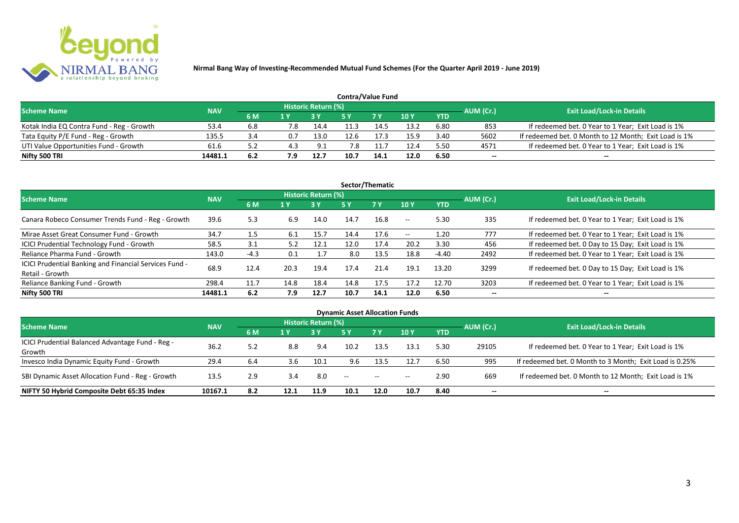

| <b>Contra/Value Fund</b>                  |            |     |     |                     |      |            |      |            |           |                                                       |  |  |  |
|-------------------------------------------|------------|-----|-----|---------------------|------|------------|------|------------|-----------|-------------------------------------------------------|--|--|--|
| <b>Scheme Name</b>                        | <b>NAV</b> |     |     | Historic Return (%) |      |            |      |            | AUM (Cr.) | <b>Exit Load/Lock-in Details</b>                      |  |  |  |
|                                           |            | 6 M | 1 V |                     |      | <b>7 V</b> | 10Y  | <b>YTD</b> |           |                                                       |  |  |  |
| Kotak India EQ Contra Fund - Reg - Growth | 53.4       | 6.8 | 7.8 | 14.4                |      | 14.5       | 13.2 | 6.80       | 853       | If redeemed bet. 0 Year to 1 Year; Exit Load is 1%    |  |  |  |
| Tata Equity P/E Fund - Reg - Growth       | 135.5      | 3.4 | 0.7 | 13.0                | 12.6 | 17.3       | 15.9 | 3.40       | 5602      | If redeemed bet. 0 Month to 12 Month; Exit Load is 1% |  |  |  |
| UTI Value Opportunities Fund - Growth     | 61.6       |     | 4.3 | 9.1                 | 7.8  |            | 12.4 | 5.50       | 4571      | If redeemed bet. 0 Year to 1 Year; Exit Load is 1%    |  |  |  |
| Nifty 500 TRI                             | 14481.1    | 6.2 |     | 12.7                | 10.7 | 14.1       | 12.0 | 6.50       | --        | $- -$                                                 |  |  |  |

| Sector/Thematic                                                           |            |        |      |                            |      |           |                          |            |           |                                                    |  |  |  |
|---------------------------------------------------------------------------|------------|--------|------|----------------------------|------|-----------|--------------------------|------------|-----------|----------------------------------------------------|--|--|--|
| <b>Scheme Name</b>                                                        | <b>NAV</b> |        |      | <b>Historic Return (%)</b> |      |           |                          |            | AUM (Cr.) | <b>Exit Load/Lock-in Details</b>                   |  |  |  |
|                                                                           |            | 6 M    | 1 Y  | <b>3 Y</b>                 | 5 Y  | <b>7Y</b> | <b>10Y</b>               | <b>YTD</b> |           |                                                    |  |  |  |
| Canara Robeco Consumer Trends Fund - Reg - Growth                         | 39.6       | 5.3    | 6.9  | 14.0                       | 14.7 | 16.8      | $\sim$ $-$               | 5.30       | 335       | If redeemed bet. 0 Year to 1 Year; Exit Load is 1% |  |  |  |
| Mirae Asset Great Consumer Fund - Growth                                  | 34.7       | 1.5    | 6.1  | 15.7                       | 14.4 | 17.6      | $\overline{\phantom{a}}$ | 1.20       | 777       | If redeemed bet. 0 Year to 1 Year; Exit Load is 1% |  |  |  |
| <b>ICICI Prudential Technology Fund - Growth</b>                          | 58.5       | 3.1    | 5.2  | 12.1                       | 12.0 | 17.4      | 20.2                     | 3.30       | 456       | If redeemed bet. 0 Day to 15 Day; Exit Load is 1%  |  |  |  |
| Reliance Pharma Fund - Growth                                             | 143.0      | $-4.3$ | 0.1  | 1.7                        | 8.0  | 13.5      | 18.8                     | -4.40      | 2492      | If redeemed bet. 0 Year to 1 Year; Exit Load is 1% |  |  |  |
| ICICI Prudential Banking and Financial Services Fund -<br>Retail - Growth | 68.9       | 12.4   | 20.3 | 19.4                       | 17.4 | 21.4      | 19.1                     | 13.20      | 3299      | If redeemed bet. 0 Day to 15 Day; Exit Load is 1%  |  |  |  |
| Reliance Banking Fund - Growth                                            | 298.4      | 11.7   | 14.8 | 18.4                       | 14.8 | 17.5      | 17.2                     | 12.70      | 3203      | If redeemed bet. 0 Year to 1 Year; Exit Load is 1% |  |  |  |
| Nifty 500 TRI                                                             | 14481.1    | 6.2    | 7.9  | 12.7                       | 10.7 | 14.1      | 12.0                     | 6.50       | $- -$     | $\overline{\phantom{a}}$                           |  |  |  |

| <b>Dynamic Asset Allocation Funds</b>            |         |     |      |                            |           |            |            |           |       |                                                         |  |  |  |
|--------------------------------------------------|---------|-----|------|----------------------------|-----------|------------|------------|-----------|-------|---------------------------------------------------------|--|--|--|
| <b>Scheme Name</b>                               |         |     |      | <b>Historic Return (%)</b> |           |            |            |           |       | <b>Exit Load/Lock-in Details</b>                        |  |  |  |
| <b>NAV</b>                                       | 6 M     | 1 Y |      | 5 Y                        | <b>7Y</b> | <b>10Y</b> | <b>YTD</b> | AUM (Cr.) |       |                                                         |  |  |  |
| ICICI Prudential Balanced Advantage Fund - Reg - | 36.2    |     |      | 9.4                        | 10.2      | 13.5       | 13.1       |           |       | If redeemed bet. 0 Year to 1 Year; Exit Load is 1%      |  |  |  |
| Growth                                           |         | 5.2 | 8.8  |                            |           |            |            | 5.30      | 29105 |                                                         |  |  |  |
| Invesco India Dynamic Equity Fund - Growth       | 29.4    | 6.4 | 3.6  | 10.1                       | 9.6       | 13.5       | 12.7       | 6.50      | 995   | If redeemed bet. 0 Month to 3 Month; Exit Load is 0.25% |  |  |  |
| SBI Dynamic Asset Allocation Fund - Reg - Growth | 13.5    | 2.9 | 3.4  | 8.0                        | $-$       | $- -$      | $- -$      | 2.90      | 669   | If redeemed bet. 0 Month to 12 Month; Exit Load is 1%   |  |  |  |
| NIFTY 50 Hybrid Composite Debt 65:35 Index       | 10167.1 | 8.2 | 12.1 | 11.9                       | 10.1      | 12.0       | 10.7       | 8.40      | --    | $- -$                                                   |  |  |  |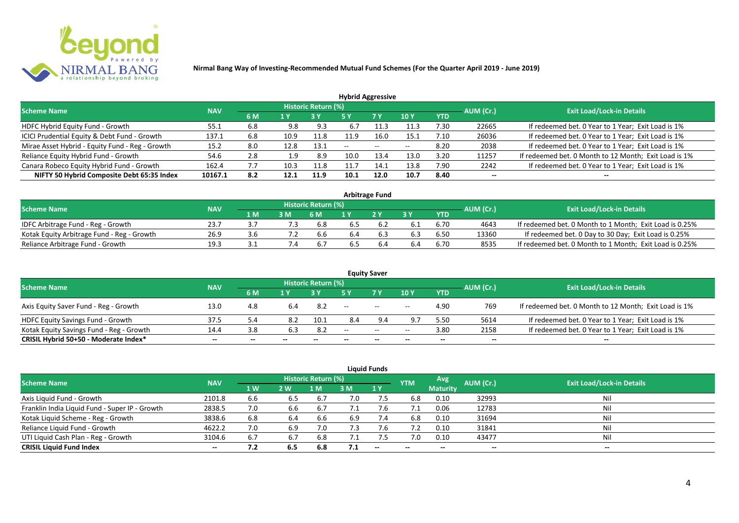

| <b>Hybrid Aggressive</b>                        |            |     |      |                     |                          |               |            |            |           |                                                       |  |  |  |
|-------------------------------------------------|------------|-----|------|---------------------|--------------------------|---------------|------------|------------|-----------|-------------------------------------------------------|--|--|--|
| <b>Scheme Name</b>                              | <b>NAV</b> |     |      | Historic Return (%) |                          |               |            |            | AUM (Cr.) | <b>Exit Load/Lock-in Details</b>                      |  |  |  |
|                                                 |            | 6 M | 1 Y  |                     | 5 Y                      | 7 Y           | <b>10Y</b> | <b>YTD</b> |           |                                                       |  |  |  |
| HDFC Hybrid Equity Fund - Growth                | 55.1       | 6.8 | 9.8  | 9.3                 | 6.7                      | 11.:          | 11.3       | 7.30       | 22665     | If redeemed bet. 0 Year to 1 Year; Exit Load is 1%    |  |  |  |
| ICICI Prudential Equity & Debt Fund - Growth    | 137.1      | 6.8 | 10.9 | 11.8                | 11.9                     | 16.0          | 15.1       | 7.10       | 26036     | If redeemed bet. 0 Year to 1 Year; Exit Load is 1%    |  |  |  |
| Mirae Asset Hybrid - Equity Fund - Reg - Growth | 15.2       | 8.0 | 12.8 | 13.1                | $\overline{\phantom{a}}$ | $\sim$ $\sim$ | $- -$      | 8.20       | 2038      | If redeemed bet. 0 Year to 1 Year; Exit Load is 1%    |  |  |  |
| Reliance Equity Hybrid Fund - Growth            | 54.6       | 2.8 | 1.9  | 8.9                 | 10.0                     | 13.4          | 13.0       | 3.20       | 11257     | If redeemed bet. 0 Month to 12 Month; Exit Load is 1% |  |  |  |
| Canara Robeco Equity Hybrid Fund - Growth       | 162.4      | 7.7 | 10.3 | 11.8                |                          | 14.1          | 13.8       | 7.90       | 2242      | If redeemed bet. 0 Year to 1 Year; Exit Load is 1%    |  |  |  |
| NIFTY 50 Hybrid Composite Debt 65:35 Index      | 10167.1    | 8.2 | 12.1 | 11.9                | 10.1                     | 12.0          | 10.7       | 8.40       | --        |                                                       |  |  |  |
|                                                 |            |     |      |                     |                          |               |            |            |           |                                                       |  |  |  |

| <b>Arbitrage Fund</b>                      |            |      |     |                            |     |     |     |            |           |                                                         |  |  |  |
|--------------------------------------------|------------|------|-----|----------------------------|-----|-----|-----|------------|-----------|---------------------------------------------------------|--|--|--|
| <b>Scheme Name</b>                         | <b>NAV</b> |      |     | <b>Historic Return (%)</b> |     |     |     |            | AUM (Cr.) | <b>Exit Load/Lock-in Details</b>                        |  |  |  |
|                                            |            | 1 M. |     | 6 M                        |     | 2V  |     | <b>YTD</b> |           |                                                         |  |  |  |
| IDFC Arbitrage Fund - Reg - Growth         | 23.7       |      | 7.3 | 6.8                        | b.5 |     |     | 6.70       | 4643      | If redeemed bet. 0 Month to 1 Month; Exit Load is 0.25% |  |  |  |
| Kotak Equity Arbitrage Fund - Reg - Growth | 26.9       | 3.b  |     | b.b                        | 6.4 | b.3 | 6.3 | 6.50       | 13360     | If redeemed bet. 0 Day to 30 Day; Exit Load is 0.25%    |  |  |  |
| Reliance Arbitrage Fund - Growth           | 19.3       |      |     |                            | כ.כ |     | 6.4 | 6.70       | 8535      | If redeemed bet. 0 Month to 1 Month; Exit Load is 0.25% |  |  |  |

|                                          |            |       |       |                     |                          | <b>Equity Saver</b> |                          |            |                          |                                                       |
|------------------------------------------|------------|-------|-------|---------------------|--------------------------|---------------------|--------------------------|------------|--------------------------|-------------------------------------------------------|
| <b>Scheme Name</b>                       | <b>NAV</b> |       |       | Historic Return (%) |                          |                     |                          |            |                          | <b>Exit Load/Lock-in Details</b>                      |
|                                          |            | 6 M   |       |                     |                          | <b>7Y</b>           | 10Y                      | <b>YTD</b> | AUM (Cr.)                |                                                       |
| Axis Equity Saver Fund - Reg - Growth    | 13.0       | 4.8   | 6.4   | 8.2                 | $\overline{\phantom{a}}$ | $\sim$              | $ -$                     | 4.90       | 769                      | If redeemed bet. 0 Month to 12 Month; Exit Load is 1% |
| HDFC Equity Savings Fund - Growth        | 37.5       |       | 8.2   | 10.1                | 8.4                      | 9.4                 |                          | 5.5C       | 5614                     | If redeemed bet. 0 Year to 1 Year; Exit Load is 1%    |
| Kotak Equity Savings Fund - Reg - Growth | 14.4       | 3.8   | 6.3   | 8.2                 | --                       | $  \,$              | $- -$                    | 3.80       | 2158                     | If redeemed bet. 0 Year to 1 Year; Exit Load is 1%    |
| CRISIL Hybrid 50+50 - Moderate Index*    | $- -$      | $- -$ | $- -$ | $- -$               |                          | $- -$               | $\overline{\phantom{a}}$ | $- -$      | $\overline{\phantom{a}}$ | $- -$                                                 |

|                                                |            |     |      |                            |     | <b>Liquid Funds</b> |            |                          |           |                                  |
|------------------------------------------------|------------|-----|------|----------------------------|-----|---------------------|------------|--------------------------|-----------|----------------------------------|
| <b>Scheme Name</b>                             | <b>NAV</b> |     |      | <b>Historic Return (%)</b> |     |                     | <b>YTM</b> | Avg                      | AUM (Cr.) | <b>Exit Load/Lock-in Details</b> |
|                                                |            | 1 W | 2 W. | 1 M                        | 3 M | <b>71 Y</b>         |            | <b>Maturity</b>          |           |                                  |
| Axis Liquid Fund - Growth                      | 2101.8     | 6.6 | 6.5  | 6.7                        | 7.0 | 7.5                 | 6.8        | 0.10                     | 32993     | Nil                              |
| Franklin India Liquid Fund - Super IP - Growth | 2838.5     | 7.0 | 6.6  | 6.7                        |     | 7.b                 |            | 0.06                     | 12783     | Nil                              |
| Kotak Liquid Scheme - Reg - Growth             | 3838.6     | 6.8 | 6.4  | 6.6                        | 6.9 | 7.4                 | 6.8        | 0.10                     | 31694     | Nil                              |
| Reliance Liquid Fund - Growth                  | 4622.2     | 7.0 | 6.9  | 7.0                        | 7.3 | 7.6                 | 7.2        | 0.10                     | 31841     | Nil                              |
| UTI Liquid Cash Plan - Reg - Growth            | 3104.6     | 6.7 | 6.7  | 6.8                        | 7.1 |                     | 7.0        | 0.10                     | 43477     | Nil                              |
| <b>CRISIL Liquid Fund Index</b>                | $- -$      | 7.2 | 6.5  | 6.8                        | 7.1 | $- -$               | $- -$      | $\overline{\phantom{a}}$ | $- -$     | $\sim$                           |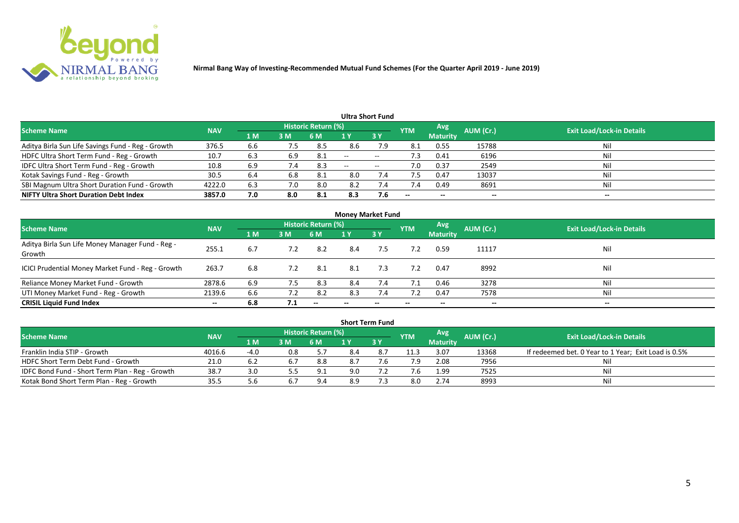

| Ultra Short Fund                                  |            |     |     |                            |       |                   |                          |                 |           |                                  |  |  |  |
|---------------------------------------------------|------------|-----|-----|----------------------------|-------|-------------------|--------------------------|-----------------|-----------|----------------------------------|--|--|--|
| <b>Scheme Name</b>                                | <b>NAV</b> |     |     | <b>Historic Return (%)</b> |       |                   | <b>YTM</b>               | Avg             | AUM (Cr.) | <b>Exit Load/Lock-in Details</b> |  |  |  |
|                                                   |            | 1 M | 3M  | 6 M                        |       | 3Y                |                          | <b>Maturity</b> |           |                                  |  |  |  |
| Aditya Birla Sun Life Savings Fund - Reg - Growth | 376.5      | 6.6 | 7.5 | 8.5                        | 8.6   | 7.9               | 8.1                      | 0.55            | 15788     | Nil                              |  |  |  |
| HDFC Ultra Short Term Fund - Reg - Growth         | 10.7       | 6.3 | 6.9 | -8.1                       | $-$   | $- -$             | د. ا                     | 0.41            | 6196      | Nil                              |  |  |  |
| IDFC Ultra Short Term Fund - Reg - Growth         | 10.8       | 6.9 | 7.4 | 8.3                        | $- -$ | $\hspace{0.05cm}$ | 7.0                      | 0.37            | 2549      | Nil                              |  |  |  |
| Kotak Savings Fund - Reg - Growth                 | 30.5       | 6.4 | 6.8 | -8.1                       | 8.0   | 7.4               |                          | 0.47            | 13037     | Nil                              |  |  |  |
| SBI Magnum Ultra Short Duration Fund - Growth     | 4222.0     | 6.3 | 7.0 | 8.0                        | 8.2   | 7.4               | 7.4                      | 0.49            | 8691      | Nil                              |  |  |  |
| <b>NIFTY Ultra Short Duration Debt Index</b>      | 3857.0     | 7.0 | 8.0 | 8.1                        | 8.3   | 7.6               | $\overline{\phantom{a}}$ | $- -$           | --        | $- -$                            |  |  |  |

| <b>Money Market Fund</b>                                   |            |                |     |                          |     |           |                          |                 |           |                                  |  |  |  |
|------------------------------------------------------------|------------|----------------|-----|--------------------------|-----|-----------|--------------------------|-----------------|-----------|----------------------------------|--|--|--|
| <b>Scheme Name</b>                                         | <b>NAV</b> |                |     | Historic Return (%)      |     |           | <b>YTM</b>               | Avg             | AUM (Cr.) | <b>Exit Load/Lock-in Details</b> |  |  |  |
|                                                            |            | 1 <sub>M</sub> | 3 M | 6 M                      | 1 Y | <b>3Y</b> |                          | <b>Maturity</b> |           |                                  |  |  |  |
| Aditya Birla Sun Life Money Manager Fund - Reg -<br>Growth | 255.1      | 6.7            | 7.2 | 8.2                      | 8.4 | 7.5       | 7.2                      | 0.59            | 11117     | Nil                              |  |  |  |
| ICICI Prudential Money Market Fund - Reg - Growth          | 263.7      | 6.8            | 7.2 | -8.1                     | 8.1 | 7.3       | 7.2                      | 0.47            | 8992      | Nil                              |  |  |  |
| Reliance Money Market Fund - Growth                        | 2878.6     | 6.9            | 7.5 | 8.3                      | 8.4 | 7.4       | 7.1                      | 0.46            | 3278      | Nil                              |  |  |  |
| UTI Money Market Fund - Reg - Growth                       | 2139.6     | 6.6            | 7.2 | 8.2                      | 8.3 | 7.4       |                          | 0.47            | 7578      | Nil                              |  |  |  |
| <b>CRISIL Liquid Fund Index</b>                            | $- -$      | 6.8            | 7.1 | $\overline{\phantom{a}}$ | --  | $- -$     | $\overline{\phantom{a}}$ | $- -$           | $- -$     | $- -$                            |  |  |  |

|                                                 |            |                   |     |                            |     | <b>Short Term Fund</b> |            |                 |           |                                                      |
|-------------------------------------------------|------------|-------------------|-----|----------------------------|-----|------------------------|------------|-----------------|-----------|------------------------------------------------------|
| <b>Scheme Name</b>                              | <b>NAV</b> |                   |     | <b>Historic Return (%)</b> |     |                        | <b>YTM</b> | Avg             | AUM (Cr.) | <b>Exit Load/Lock-in Details</b>                     |
|                                                 |            | $\overline{1}$ MZ | 3M  | <b>6 M</b>                 |     | <b>73 Y</b>            |            | <b>Maturity</b> |           |                                                      |
| Franklin India STIP - Growth                    | 4016.6     | $-4.0$            | 0.8 | 5.7                        | 8.4 | 8.7                    | 11.3       | 3.07            | 13368     | If redeemed bet. 0 Year to 1 Year; Exit Load is 0.5% |
| HDFC Short Term Debt Fund - Growth              | 21.0       | 6.2               | 6.7 | 8.8                        | 8.7 |                        | 7.9        | 2.08            | 7956      | Nil                                                  |
| IDFC Bond Fund - Short Term Plan - Reg - Growth | 38.7       | 3.0               | 5.5 | 9.1                        | 9.0 |                        |            | 1.99            | 7525      | Nil                                                  |
| Kotak Bond Short Term Plan - Reg - Growth       | 35.5       |                   | 6.7 | 9.4                        | 8.9 |                        | 8.0        | 2.74            | 8993      | Nil                                                  |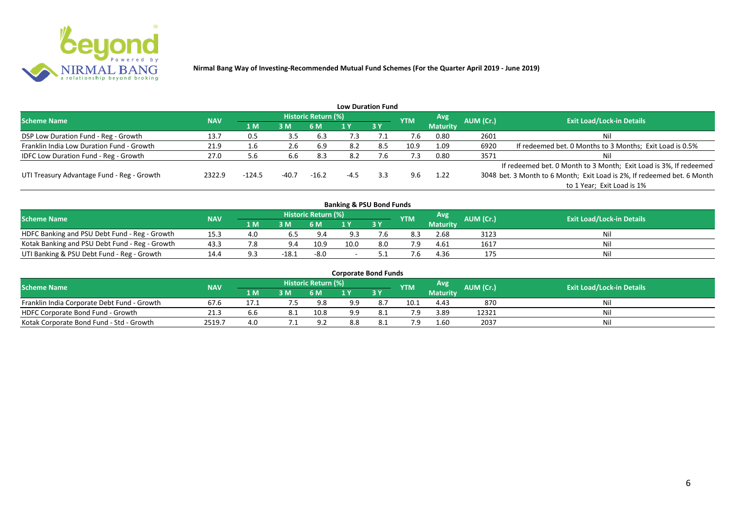

|                                              |            |          |         |                     |        | <b>Low Duration Fund</b> |            |                 |           |                                                                         |
|----------------------------------------------|------------|----------|---------|---------------------|--------|--------------------------|------------|-----------------|-----------|-------------------------------------------------------------------------|
| <b>Scheme Name</b>                           | <b>NAV</b> |          |         | Historic Return (%) |        |                          | <b>YTM</b> | Avg             | AUM (Cr.) | <b>Exit Load/Lock-in Details</b>                                        |
|                                              |            | 1 M      | 3 M     | 6 M                 |        | 3 Y                      |            | <b>Maturity</b> |           |                                                                         |
| DSP Low Duration Fund - Reg - Growth         | 13.7       | 0.5      | 3.5     | 6.3                 | 7.3    |                          | 7.6        | 0.80            | 2601      | Nil                                                                     |
| Franklin India Low Duration Fund - Growth    | 21.9       | 1.6      | 2.6     | 6.9                 | 8.2    | 8.5                      | 10.9       | 1.09            | 6920      | If redeemed bet. 0 Months to 3 Months; Exit Load is 0.5%                |
| <b>IDFC Low Duration Fund - Reg - Growth</b> | 27.0       | 5.6      | 6.6     | 8.3                 | 8.2    |                          | 7.3        | 0.80            | 3571      | Nil                                                                     |
|                                              |            |          |         |                     |        |                          |            |                 |           | If redeemed bet. 0 Month to 3 Month; Exit Load is 3%, If redeemed       |
| UTI Treasury Advantage Fund - Reg - Growth   | 2322.9     | $-124.5$ | $-40.7$ | $-16.2$             | $-4.5$ | 3.3                      | 9.6        | 1.22            |           | 3048 bet. 3 Month to 6 Month; Exit Load is 2%, If redeemed bet. 6 Month |
|                                              |            |          |         |                     |        |                          |            |                 |           | to 1 Year; Exit Load is 1%                                              |
|                                              |            |          |         |                     |        |                          |            |                 |           |                                                                         |

| <b>Banking &amp; PSU Bond Funds</b>            |            |     |         |                     |      |     |            |                 |                  |                                  |  |  |  |
|------------------------------------------------|------------|-----|---------|---------------------|------|-----|------------|-----------------|------------------|----------------------------------|--|--|--|
| <b>Scheme Name</b>                             | <b>NAV</b> |     |         | Historic Return (%) |      |     | <b>YTM</b> | Avg             | <b>AUM (Cr.)</b> | <b>Exit Load/Lock-in Details</b> |  |  |  |
|                                                |            | 1 M | 3 M     | 6 M                 |      | 3Y  |            | <b>Maturity</b> |                  |                                  |  |  |  |
| HDFC Banking and PSU Debt Fund - Reg - Growth  | 15.3       | 4.0 |         | 9.4                 | 9.3  |     | 8.3        | 2.68            | 3123             | Nil                              |  |  |  |
| Kotak Banking and PSU Debt Fund - Reg - Growth | 43.3       | 8.' | 9.4     | 10.9                | 10.0 | 8.0 |            | 4.61            | 1617             | Nil                              |  |  |  |
| UTI Banking & PSU Debt Fund - Reg - Growth     |            |     | $-18.1$ | $-8.0$              |      |     |            | 4.36            | 175              | Nil                              |  |  |  |

| <b>Corporate Bond Funds</b>                 |            |      |    |                            |     |            |            |                 |           |                                  |  |  |  |
|---------------------------------------------|------------|------|----|----------------------------|-----|------------|------------|-----------------|-----------|----------------------------------|--|--|--|
| <b>Scheme Name</b>                          | <b>NAV</b> |      |    | <b>Historic Return (%)</b> |     |            | <b>YTM</b> | Avg             | AUM (Cr.) | <b>Exit Load/Lock-in Details</b> |  |  |  |
|                                             |            | 1 M. | 3M | 6 M                        |     | <b>3 Y</b> |            | <b>Maturity</b> |           |                                  |  |  |  |
| Franklin India Corporate Debt Fund - Growth | 67.6       |      |    | 9.8                        | 9.9 |            | 10.1       | 4.43            | 870       | Nil                              |  |  |  |
| HDFC Corporate Bond Fund - Growth           | 21.3       | b.b  |    | 10.8                       | 9.9 |            |            | 3.89            | 12321     | Nil                              |  |  |  |
| Kotak Corporate Bond Fund - Std - Growth    | 2519.7     | 4.0  |    | 9.2                        | 8.8 |            |            | 1.60            | 2037      | Nil                              |  |  |  |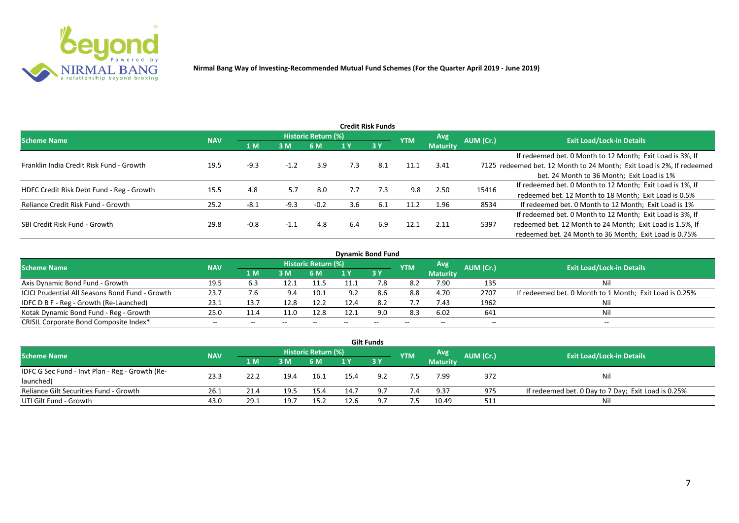

|                                           |            |        |        |                     |     | <b>Credit Risk Funds</b> |            |                 |           |                                                                       |
|-------------------------------------------|------------|--------|--------|---------------------|-----|--------------------------|------------|-----------------|-----------|-----------------------------------------------------------------------|
| <b>Scheme Name</b>                        | <b>NAV</b> |        |        | Historic Return (%) |     |                          | <b>YTM</b> | <b>Avg</b>      | AUM (Cr.) | <b>Exit Load/Lock-in Details</b>                                      |
|                                           |            | 1 M    | 3M     | 6 M                 |     | 3Y                       |            | <b>Maturity</b> |           |                                                                       |
|                                           |            |        |        |                     |     |                          |            |                 |           | If redeemed bet. 0 Month to 12 Month; Exit Load is 3%, If             |
| Franklin India Credit Risk Fund - Growth  | 19.5       | $-9.3$ | $-1.2$ | 3.9                 | 7.3 | 8.1                      | 11.1       | 3.41            |           | 7125 redeemed bet. 12 Month to 24 Month; Exit Load is 2%, If redeemed |
|                                           |            |        |        |                     |     |                          |            |                 |           | bet. 24 Month to 36 Month; Exit Load is 1%                            |
| HDFC Credit Risk Debt Fund - Reg - Growth | 15.5       | 4.8    | 5.7    | 8.0                 | 7.7 | 7.3                      | 9.8        | 2.50            | 15416     | If redeemed bet. 0 Month to 12 Month; Exit Load is 1%, If             |
|                                           |            |        |        |                     |     |                          |            |                 |           | redeemed bet. 12 Month to 18 Month; Exit Load is 0.5%                 |
| Reliance Credit Risk Fund - Growth        | 25.2       | -8.1   | $-9.3$ | $-0.2$              | 3.6 | -6.1                     | 11.2       | 1.96            | 8534      | If redeemed bet. 0 Month to 12 Month; Exit Load is 1%                 |
|                                           |            |        |        |                     |     |                          |            |                 |           | If redeemed bet. 0 Month to 12 Month; Exit Load is 3%, If             |
| SBI Credit Risk Fund - Growth             | 29.8       | $-0.8$ | $-1.1$ | 4.8                 | 6.4 | 6.9                      | 12.1       | 2.11            | 5397      | redeemed bet. 12 Month to 24 Month; Exit Load is 1.5%, If             |
|                                           |            |        |        |                     |     |                          |            |                 |           | redeemed bet. 24 Month to 36 Month; Exit Load is 0.75%                |

| <b>Dynamic Bond Fund</b>                        |            |       |       |                          |      |           |            |                          |           |                                                         |  |  |  |  |
|-------------------------------------------------|------------|-------|-------|--------------------------|------|-----------|------------|--------------------------|-----------|---------------------------------------------------------|--|--|--|--|
| <b>Scheme Name</b>                              | <b>NAV</b> |       |       | Historic Return (%)      |      |           | <b>YTM</b> | Avg                      | AUM (Cr.) | <b>Exit Load/Lock-in Details</b>                        |  |  |  |  |
|                                                 |            | 1 M   | 3 M   | 6 M                      |      | <b>3Y</b> |            | <b>Maturity</b>          |           |                                                         |  |  |  |  |
| Axis Dynamic Bond Fund - Growth                 | 19.5       | 6.3   | 12.1  | 11.5                     |      |           | 8.2        | 7.90                     | 135       | Νi                                                      |  |  |  |  |
| ICICI Prudential All Seasons Bond Fund - Growth | 23.7       | 7.6   | 9.4   | 10.1                     | 9.2  |           | 8.8        | 4.70                     | 2707      | If redeemed bet. 0 Month to 1 Month; Exit Load is 0.25% |  |  |  |  |
| IDFC D B F - Reg - Growth (Re-Launched)         | 23.1       | 13.7  | 12.8  | 12.2                     | 12.4 |           | 7.7        | 7.43                     | 1962      |                                                         |  |  |  |  |
| Kotak Dynamic Bond Fund - Reg - Growth          | 25.0       | 11.4  | 11.0  | 12.8                     | 12.1 | 9.0       | 8.3        | 6.02                     | 641       | Νi                                                      |  |  |  |  |
| CRISIL Corporate Bond Composite Index*          | $- -$      | $- -$ | $- -$ | $\overline{\phantom{a}}$ |      | $- -$     |            | $\overline{\phantom{a}}$ | $- -$     | $-$                                                     |  |  |  |  |

|                                                 |            |       |      |                     |      | <b>Gilt Funds</b> |            |                 |           |                                                     |
|-------------------------------------------------|------------|-------|------|---------------------|------|-------------------|------------|-----------------|-----------|-----------------------------------------------------|
| <b>Scheme Name</b>                              | <b>NAV</b> |       |      | Historic Return (%) |      |                   | <b>YTM</b> | <b>Avg</b>      | AUM (Cr.) | <b>Exit Load/Lock-in Details</b>                    |
|                                                 |            | 4 M / | 3M   | <b>6M</b>           |      | $-3V$             |            | <b>Maturity</b> |           |                                                     |
| IDFC G Sec Fund - Invt Plan - Reg - Growth (Re- | 23.3       | 22.2  | 19.4 |                     |      | 9.2               |            | 7.99            |           |                                                     |
| launched)                                       |            |       |      | 16.1                | 15.4 |                   |            |                 | 372       | Nil                                                 |
| Reliance Gilt Securities Fund - Growth          | 26.1       | 21.4  | 19.5 | 15.4                | 14.7 | 9.7               | 7.4        | 9.37            | 975       | If redeemed bet. 0 Day to 7 Day; Exit Load is 0.25% |
| UTI Gilt Fund - Growth                          | 43.0       | 29.1  | 19.7 | 15.2                | 12.6 | 9.7               | 7.5        | 10.49           | 511       | Nil                                                 |